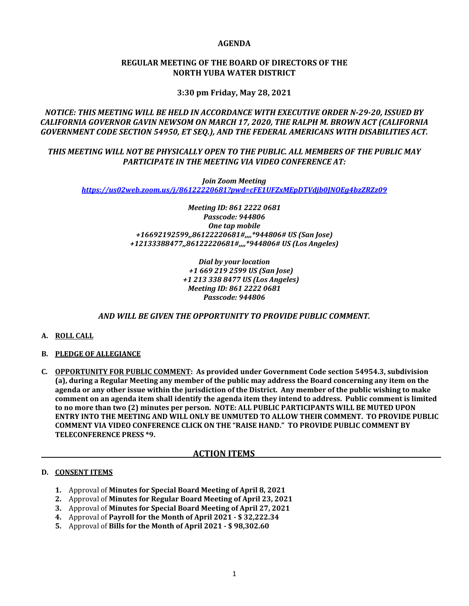### **AGENDA**

## **REGULAR MEETING OF THE BOARD OF DIRECTORS OF THE NORTH YUBA WATER DISTRICT**

# **3:30 pm Friday, May 28, 2021**

# *NOTICE: THIS MEETING WILL BE HELD IN ACCORDANCE WITH EXECUTIVE ORDER N‐29‐20, ISSUED BY CALIFORNIA GOVERNOR GAVIN NEWSOM ON MARCH 17, 2020, THE RALPH M. BROWN ACT (CALIFORNIA GOVERNMENT CODE SECTION 54950, ET SEQ.), AND THE FEDERAL AMERICANS WITH DISABILITIES ACT.*

# *THIS MEETING WILL NOT BE PHYSICALLY OPEN TO THE PUBLIC. ALL MEMBERS OF THE PUBLIC MAY PARTICIPATE IN THE MEETING VIA VIDEO CONFERENCE AT:*

*Join Zoom Meeting https://us02web.zoom.us/j/86122220681?pwd=cFE1UFZxMEpDTVdjb0JNOEg4bzZRZz09* 

> *Meeting ID: 861 2222 0681 Passcode: 944806 One tap mobile +16692192599,,86122220681#,,,,\*944806# US (San Jose) +12133388477,,86122220681#,,,,\*944806# US (Los Angeles)*

> > *Dial by your location +1 669 219 2599 US (San Jose) +1 213 338 8477 US (Los Angeles) Meeting ID: 861 2222 0681 Passcode: 944806*

## *AND WILL BE GIVEN THE OPPORTUNITY TO PROVIDE PUBLIC COMMENT.*

- **A. ROLL CALL**
- **B. PLEDGE OF ALLEGIANCE**
- **C. OPPORTUNITY FOR PUBLIC COMMENT: As provided under Government Code section 54954.3, subdivision** (a), during a Regular Meeting any member of the public may address the Board concerning any item on the agenda or any other issue within the jurisdiction of the District. Any member of the public wishing to make comment on an agenda item shall identify the agenda item they intend to address. Public comment is limited **to no more than two (2) minutes per person. NOTE: ALL PUBLIC PARTICIPANTS WILL BE MUTED UPON ENTRY INTO THE MEETING AND WILL ONLY BE UNMUTED TO ALLOW THEIR COMMENT. TO PROVIDE PUBLIC COMMENT VIA VIDEO CONFERENCE CLICK ON THE "RAISE HAND." TO PROVIDE PUBLIC COMMENT BY TELECONFERENCE PRESS \*9.**

### **ACTION ITEMS**

### **D. CONSENT ITEMS**

- **1.** Approval of **Minutes for Special Board Meeting of April 8, 2021**
- **2.** Approval of **Minutes for Regular Board Meeting of April 23, 2021**
- **3.** Approval of **Minutes for Special Board Meeting of April 27, 2021**
- **4.** Approval of **Payroll for the Month of April 2021 ‐ \$ 32,222.34**
- **5.** Approval of **Bills for the Month of April 2021 ‐ \$ 98,302.60**